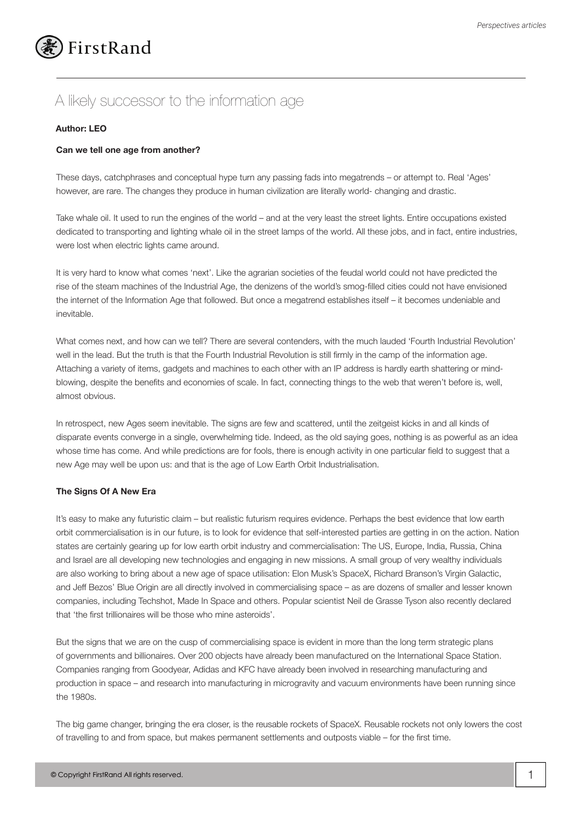

# A likely successor to the information age

## **Author: LEO**

### **Can we tell one age from another?**

These days, catchphrases and conceptual hype turn any passing fads into megatrends – or attempt to. Real 'Ages' however, are rare. The changes they produce in human civilization are literally world- changing and drastic.

Take whale oil. It used to run the engines of the world – and at the very least the street lights. Entire occupations existed dedicated to transporting and lighting whale oil in the street lamps of the world. All these jobs, and in fact, entire industries, were lost when electric lights came around.

It is very hard to know what comes 'next'. Like the agrarian societies of the feudal world could not have predicted the rise of the steam machines of the Industrial Age, the denizens of the world's smog-filled cities could not have envisioned the internet of the Information Age that followed. But once a megatrend establishes itself – it becomes undeniable and inevitable.

What comes next, and how can we tell? There are several contenders, with the much lauded 'Fourth Industrial Revolution' well in the lead. But the truth is that the Fourth Industrial Revolution is still firmly in the camp of the information age. Attaching a variety of items, gadgets and machines to each other with an IP address is hardly earth shattering or mindblowing, despite the benefits and economies of scale. In fact, connecting things to the web that weren't before is, well, almost obvious.

In retrospect, new Ages seem inevitable. The signs are few and scattered, until the zeitgeist kicks in and all kinds of disparate events converge in a single, overwhelming tide. Indeed, as the old saying goes, nothing is as powerful as an idea whose time has come. And while predictions are for fools, there is enough activity in one particular field to suggest that a new Age may well be upon us: and that is the age of Low Earth Orbit Industrialisation.

#### **The Signs Of A New Era**

It's easy to make any futuristic claim – but realistic futurism requires evidence. Perhaps the best evidence that low earth orbit commercialisation is in our future, is to look for evidence that self-interested parties are getting in on the action. Nation states are certainly gearing up for low earth orbit industry and commercialisation: The US, Europe, India, Russia, China and Israel are all developing new technologies and engaging in new missions. A small group of very wealthy individuals are also working to bring about a new age of space utilisation: Elon Musk's SpaceX, Richard Branson's Virgin Galactic, and Jeff Bezos' Blue Origin are all directly involved in commercialising space – as are dozens of smaller and lesser known companies, including Techshot, Made In Space and others. Popular scientist Neil de Grasse Tyson also recently declared that 'the first trillionaires will be those who mine asteroids'.

But the signs that we are on the cusp of commercialising space is evident in more than the long term strategic plans of governments and billionaires. Over 200 objects have already been manufactured on the International Space Station. Companies ranging from Goodyear, Adidas and KFC have already been involved in researching manufacturing and production in space – and research into manufacturing in microgravity and vacuum environments have been running since the 1980s.

The big game changer, bringing the era closer, is the reusable rockets of SpaceX. Reusable rockets not only lowers the cost of travelling to and from space, but makes permanent settlements and outposts viable – for the first time.